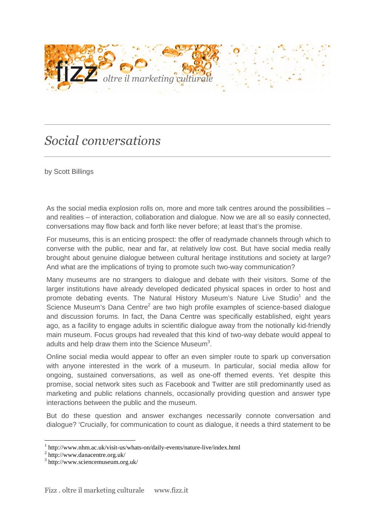

## *Social conversations*

by Scott Billings

As the social media explosion rolls on, more and more talk centres around the possibilities – and realities – of interaction, collaboration and dialogue. Now we are all so easily connected, conversations may flow back and forth like never before; at least that's the promise.

For museums, this is an enticing prospect: the offer of readymade channels through which to converse with the public, near and far, at relatively low cost. But have social media really brought about genuine dialogue between cultural heritage institutions and society at large? And what are the implications of trying to promote such two-way communication?

Many museums are no strangers to dialogue and debate with their visitors. Some of the larger institutions have already developed dedicated physical spaces in order to host and promote debating events. The Natural History Museum's Nature Live Studio<sup>1</sup> and the Science Museum's Dana Centre<sup>2</sup> are two high profile examples of science-based dialogue and discussion forums. In fact, the Dana Centre was specifically established, eight years ago, as a facility to engage adults in scientific dialogue away from the notionally kid-friendly main museum. Focus groups had revealed that this kind of two-way debate would appeal to adults and help draw them into the Science Museum<sup>3</sup>.

Online social media would appear to offer an even simpler route to spark up conversation with anyone interested in the work of a museum. In particular, social media allow for ongoing, sustained conversations, as well as one-off themed events. Yet despite this promise, social network sites such as Facebook and Twitter are still predominantly used as marketing and public relations channels, occasionally providing question and answer type interactions between the public and the museum.

But do these question and answer exchanges necessarily connote conversation and dialogue? 'Crucially, for communication to count as dialogue, it needs a third statement to be

 $\overline{a}$ 

<sup>1</sup> http://www.nhm.ac.uk/visit-us/whats-on/daily-events/nature-live/index.html

<sup>2</sup> http://www.danacentre.org.uk/

<sup>3</sup> http://www.sciencemuseum.org.uk/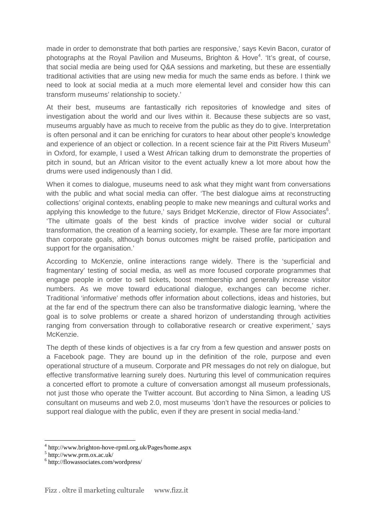made in order to demonstrate that both parties are responsive,' says Kevin Bacon, curator of photographs at the Royal Pavilion and Museums, Brighton & Hove<sup>4</sup>. 'It's great, of course, that social media are being used for Q&A sessions and marketing, but these are essentially traditional activities that are using new media for much the same ends as before. I think we need to look at social media at a much more elemental level and consider how this can transform museums' relationship to society.'

At their best, museums are fantastically rich repositories of knowledge and sites of investigation about the world and our lives within it. Because these subjects are so vast, museums arguably have as much to receive from the public as they do to give. Interpretation is often personal and it can be enriching for curators to hear about other people's knowledge and experience of an object or collection. In a recent science fair at the Pitt Rivers Museum<sup>5</sup> in Oxford, for example, I used a West African talking drum to demonstrate the properties of pitch in sound, but an African visitor to the event actually knew a lot more about how the drums were used indigenously than I did.

When it comes to dialogue, museums need to ask what they might want from conversations with the public and what social media can offer. 'The best dialogue aims at reconstructing collections' original contexts, enabling people to make new meanings and cultural works and applying this knowledge to the future,' says Bridget McKenzie, director of Flow Associates $6$ . 'The ultimate goals of the best kinds of practice involve wider social or cultural transformation, the creation of a learning society, for example. These are far more important than corporate goals, although bonus outcomes might be raised profile, participation and support for the organisation.'

According to McKenzie, online interactions range widely. There is the 'superficial and fragmentary' testing of social media, as well as more focused corporate programmes that engage people in order to sell tickets, boost membership and generally increase visitor numbers. As we move toward educational dialogue, exchanges can become richer. Traditional 'informative' methods offer information about collections, ideas and histories, but at the far end of the spectrum there can also be transformative dialogic learning, 'where the goal is to solve problems or create a shared horizon of understanding through activities ranging from conversation through to collaborative research or creative experiment,' says McKenzie.

The depth of these kinds of objectives is a far cry from a few question and answer posts on a Facebook page. They are bound up in the definition of the role, purpose and even operational structure of a museum. Corporate and PR messages do not rely on dialogue, but effective transformative learning surely does. Nurturing this level of communication requires a concerted effort to promote a culture of conversation amongst all museum professionals, not just those who operate the Twitter account. But according to Nina Simon, a leading US consultant on museums and web 2.0, most museums 'don't have the resources or policies to support real dialogue with the public, even if they are present in social media-land.'

 $\overline{a}$ 

<sup>4</sup> http://www.brighton-hove-rpml.org.uk/Pages/home.aspx

<sup>5</sup> http://www.prm.ox.ac.uk/

<sup>6</sup> http://flowassociates.com/wordpress/